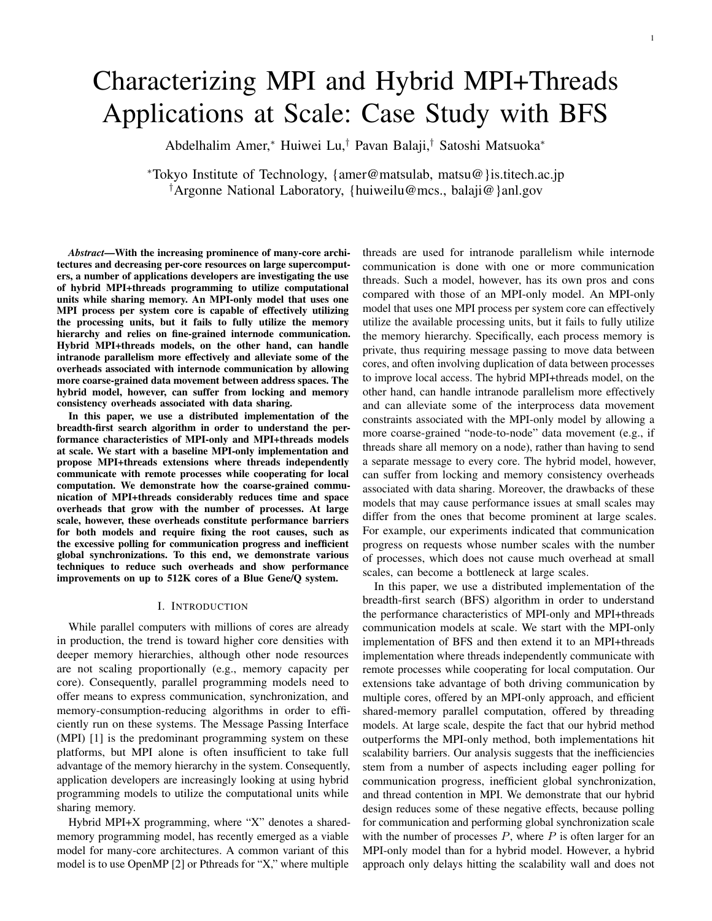# Characterizing MPI and Hybrid MPI+Threads Applications at Scale: Case Study with BFS

Abdelhalim Amer,<sup>∗</sup> Huiwei Lu,† Pavan Balaji,† Satoshi Matsuoka<sup>∗</sup>

<sup>∗</sup>Tokyo Institute of Technology, {amer@matsulab, matsu@}is.titech.ac.jp †Argonne National Laboratory, {huiweilu@mcs., balaji@}anl.gov

Abstract—With the increasing prominence of many-core architectures and decreasing per-core resources on large supercomputers, a number of applications developers are investigating the use of hybrid MPI+threads programming to utilize computational units while sharing memory. An MPI-only model that uses one MPI process per system core is capable of effectively utilizing the processing units, but it fails to fully utilize the memory hierarchy and relies on fine-grained internode communication. Hybrid MPI+threads models, on the other hand, can handle intranode parallelism more effectively and alleviate some of the overheads associated with internode communication by allowing more coarse-grained data movement between address spaces. The hybrid model, however, can suffer from locking and memory consistency overheads associated with data sharing.

In this paper, we use a distributed implementation of the breadth-first search algorithm in order to understand the performance characteristics of MPI-only and MPI+threads models at scale. We start with a baseline MPI-only implementation and propose MPI+threads extensions where threads independently communicate with remote processes while cooperating for local computation. We demonstrate how the coarse-grained communication of MPI+threads considerably reduces time and space overheads that grow with the number of processes. At large scale, however, these overheads constitute performance barriers for both models and require fixing the root causes, such as the excessive polling for communication progress and inefficient global synchronizations. To this end, we demonstrate various techniques to reduce such overheads and show performance improvements on up to 512K cores of a Blue Gene/Q system.

## I. INTRODUCTION

While parallel computers with millions of cores are already in production, the trend is toward higher core densities with deeper memory hierarchies, although other node resources are not scaling proportionally (e.g., memory capacity per core). Consequently, parallel programming models need to offer means to express communication, synchronization, and memory-consumption-reducing algorithms in order to efficiently run on these systems. The Message Passing Interface (MPI) [1] is the predominant programming system on these platforms, but MPI alone is often insufficient to take full advantage of the memory hierarchy in the system. Consequently, application developers are increasingly looking at using hybrid programming models to utilize the computational units while sharing memory.

Hybrid MPI+X programming, where "X" denotes a sharedmemory programming model, has recently emerged as a viable model for many-core architectures. A common variant of this model is to use OpenMP [2] or Pthreads for "X," where multiple

threads are used for intranode parallelism while internode communication is done with one or more communication threads. Such a model, however, has its own pros and cons compared with those of an MPI-only model. An MPI-only model that uses one MPI process per system core can effectively utilize the available processing units, but it fails to fully utilize the memory hierarchy. Specifically, each process memory is private, thus requiring message passing to move data between cores, and often involving duplication of data between processes to improve local access. The hybrid MPI+threads model, on the other hand, can handle intranode parallelism more effectively and can alleviate some of the interprocess data movement constraints associated with the MPI-only model by allowing a more coarse-grained "node-to-node" data movement (e.g., if threads share all memory on a node), rather than having to send a separate message to every core. The hybrid model, however, can suffer from locking and memory consistency overheads associated with data sharing. Moreover, the drawbacks of these models that may cause performance issues at small scales may differ from the ones that become prominent at large scales. For example, our experiments indicated that communication progress on requests whose number scales with the number of processes, which does not cause much overhead at small scales, can become a bottleneck at large scales.

In this paper, we use a distributed implementation of the breadth-first search (BFS) algorithm in order to understand the performance characteristics of MPI-only and MPI+threads communication models at scale. We start with the MPI-only implementation of BFS and then extend it to an MPI+threads implementation where threads independently communicate with remote processes while cooperating for local computation. Our extensions take advantage of both driving communication by multiple cores, offered by an MPI-only approach, and efficient shared-memory parallel computation, offered by threading models. At large scale, despite the fact that our hybrid method outperforms the MPI-only method, both implementations hit scalability barriers. Our analysis suggests that the inefficiencies stem from a number of aspects including eager polling for communication progress, inefficient global synchronization, and thread contention in MPI. We demonstrate that our hybrid design reduces some of these negative effects, because polling for communication and performing global synchronization scale with the number of processes  $P$ , where  $P$  is often larger for an MPI-only model than for a hybrid model. However, a hybrid approach only delays hitting the scalability wall and does not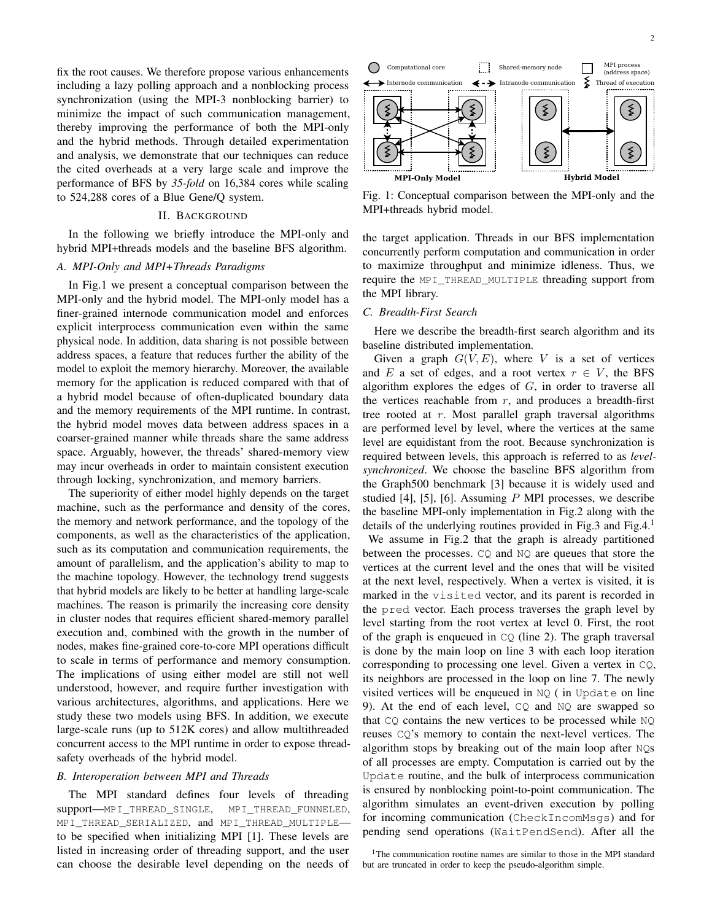fix the root causes. We therefore propose various enhancements including a lazy polling approach and a nonblocking process synchronization (using the MPI-3 nonblocking barrier) to minimize the impact of such communication management, thereby improving the performance of both the MPI-only and the hybrid methods. Through detailed experimentation and analysis, we demonstrate that our techniques can reduce the cited overheads at a very large scale and improve the performance of BFS by 35-fold on 16,384 cores while scaling to 524,288 cores of a Blue Gene/Q system.

## II. BACKGROUND

In the following we briefly introduce the MPI-only and hybrid MPI+threads models and the baseline BFS algorithm.

# A. MPI-Only and MPI+Threads Paradigms

In Fig.1 we present a conceptual comparison between the MPI-only and the hybrid model. The MPI-only model has a finer-grained internode communication model and enforces explicit interprocess communication even within the same physical node. In addition, data sharing is not possible between address spaces, a feature that reduces further the ability of the model to exploit the memory hierarchy. Moreover, the available memory for the application is reduced compared with that of a hybrid model because of often-duplicated boundary data and the memory requirements of the MPI runtime. In contrast, the hybrid model moves data between address spaces in a coarser-grained manner while threads share the same address space. Arguably, however, the threads' shared-memory view may incur overheads in order to maintain consistent execution through locking, synchronization, and memory barriers.

The superiority of either model highly depends on the target machine, such as the performance and density of the cores, the memory and network performance, and the topology of the components, as well as the characteristics of the application, such as its computation and communication requirements, the amount of parallelism, and the application's ability to map to the machine topology. However, the technology trend suggests that hybrid models are likely to be better at handling large-scale machines. The reason is primarily the increasing core density in cluster nodes that requires efficient shared-memory parallel execution and, combined with the growth in the number of nodes, makes fine-grained core-to-core MPI operations difficult to scale in terms of performance and memory consumption. The implications of using either model are still not well understood, however, and require further investigation with various architectures, algorithms, and applications. Here we study these two models using BFS. In addition, we execute large-scale runs (up to 512K cores) and allow multithreaded concurrent access to the MPI runtime in order to expose threadsafety overheads of the hybrid model.

## B. Interoperation between MPI and Threads

The MPI standard defines four levels of threading support—MPI\_THREAD\_SINGLE, MPI\_THREAD\_FUNNELED, MPI\_THREAD\_SERIALIZED, and MPI\_THREAD\_MULTIPLE to be specified when initializing MPI [1]. These levels are listed in increasing order of threading support, and the user can choose the desirable level depending on the needs of



Fig. 1: Conceptual comparison between the MPI-only and the MPI+threads hybrid model.

the target application. Threads in our BFS implementation concurrently perform computation and communication in order to maximize throughput and minimize idleness. Thus, we require the MPI\_THREAD\_MULTIPLE threading support from the MPI library.

## C. Breadth-First Search

Here we describe the breadth-first search algorithm and its baseline distributed implementation.

Given a graph  $G(V, E)$ , where V is a set of vertices and E a set of edges, and a root vertex  $r \in V$ , the BFS algorithm explores the edges of  $G$ , in order to traverse all the vertices reachable from  $r$ , and produces a breadth-first tree rooted at r. Most parallel graph traversal algorithms are performed level by level, where the vertices at the same level are equidistant from the root. Because synchronization is required between levels, this approach is referred to as levelsynchronized. We choose the baseline BFS algorithm from the Graph500 benchmark [3] because it is widely used and studied  $[4]$ ,  $[5]$ ,  $[6]$ . Assuming  $P$  MPI processes, we describe the baseline MPI-only implementation in Fig.2 along with the details of the underlying routines provided in Fig.3 and Fig.4.<sup>1</sup> We assume in Fig.2 that the graph is already partitioned between the processes. CQ and NQ are queues that store the vertices at the current level and the ones that will be visited at the next level, respectively. When a vertex is visited, it is marked in the visited vector, and its parent is recorded in the pred vector. Each process traverses the graph level by level starting from the root vertex at level 0. First, the root of the graph is enqueued in  $CQ$  (line 2). The graph traversal is done by the main loop on line 3 with each loop iteration corresponding to processing one level. Given a vertex in CQ, its neighbors are processed in the loop on line 7. The newly visited vertices will be enqueued in NQ ( in Update on line 9). At the end of each level,  $CQ$  and  $NQ$  are swapped so that  $CQ$  contains the new vertices to be processed while  $NQ$ reuses CQ's memory to contain the next-level vertices. The algorithm stops by breaking out of the main loop after NQs of all processes are empty. Computation is carried out by the Update routine, and the bulk of interprocess communication is ensured by nonblocking point-to-point communication. The algorithm simulates an event-driven execution by polling for incoming communication (CheckIncomMsgs) and for pending send operations (WaitPendSend). After all the

<sup>&</sup>lt;sup>1</sup>The communication routine names are similar to those in the MPI standard but are truncated in order to keep the pseudo-algorithm simple.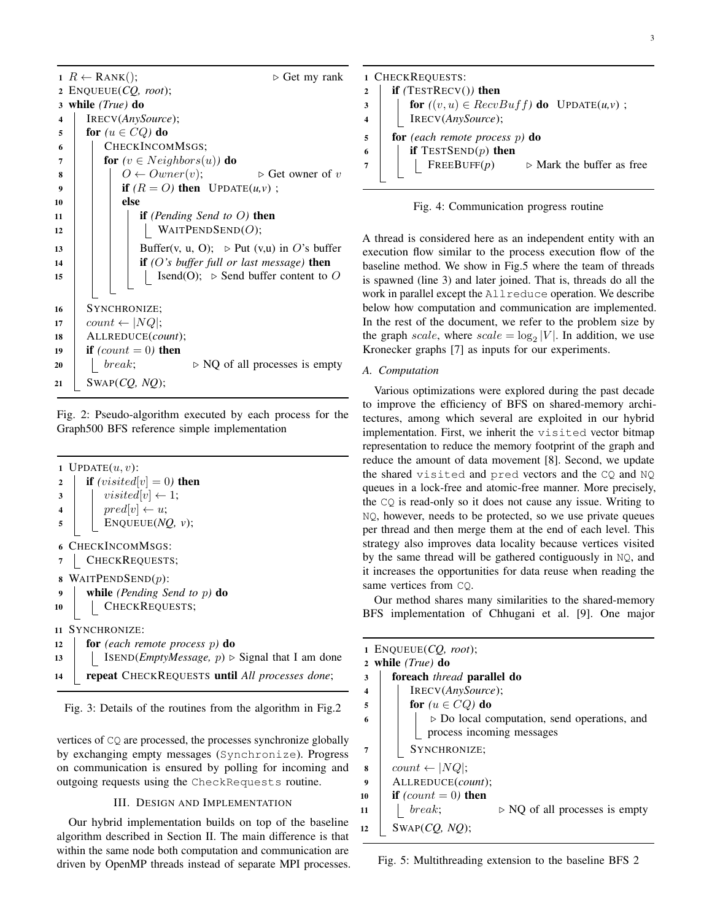$1 R \leftarrow$  RANK();  $\triangleright$  Get my rank 2 ENQUEUE $(CQ, root)$ ; <sup>3</sup> while (True) do 4 | IRECV(AnySource); 5 for  $(u \in CQ)$  do 6 | CHECKINCOMMSGS; 7 **for**  $(v \in Neighbors(u))$  do 8 | |  $O \leftarrow Owner(v);$   $\triangleright$  Get owner of v 9 if  $(R = O)$  then UPDATE $(u, v)$ ; 10 | | else 11 | | | if (Pending Send to O) then 12 | | | WAITPENDSEND $(O)$ ; 13 | | Buffer(v, u, O); ⊳ Put (v,u) in O's buffer 14  $\parallel$   $\parallel$   $\parallel$  if (O's buffer full or last message) then 15 | | | | Isend(O); ⊳ Send buffer content to O 16 | SYNCHRONIZE;  $17$  count  $\leftarrow$   $|NQ|$ ; 18 | ALLREDUCE(count); 19 **if** (count = 0) **then** 20 | break;  $\rhd$  NQ of all processes is empty 21 | SWAP $(CQ, NQ)$ ;

Fig. 2: Pseudo-algorithm executed by each process for the Graph500 BFS reference simple implementation

1 UPDATE $(u, v)$ : 2 if (visited[v] = 0) then  $\hspace{.1cm} 3 \hspace{.1cm} \vert \hspace{.1cm} visited[v] \leftarrow 1;$ 4 | pred[v]  $\leftarrow u$ ;  $\mathfrak{s}$  | ENQUEUE(NQ, v); <sup>6</sup> CHECKINCOMMSGS: 7 | CHECKREQUESTS; 8 WAITPENDSEND $(p)$ : 9 while (Pending Send to  $p$ ) do 10 | CHECKREQUESTS; 11 SYNCHRONIZE: 12 **for** (each remote process  $p$ ) **do** 13 | ISEND(*EmptyMessage*,  $p$ ) ⊳ Signal that I am done 14 | repeat CHECKREQUESTS until All processes done;

Fig. 3: Details of the routines from the algorithm in Fig.2

vertices of CQ are processed, the processes synchronize globally by exchanging empty messages (Synchronize). Progress on communication is ensured by polling for incoming and outgoing requests using the CheckRequests routine.

# III. DESIGN AND IMPLEMENTATION

Our hybrid implementation builds on top of the baseline algorithm described in Section II. The main difference is that within the same node both computation and communication are driven by OpenMP threads instead of separate MPI processes.

```
1 CHECKREQUESTS:
2 if (TESTRECV() then
\mathbf{3} | for ((v, u) \in RecvBuff) do UPDATE(u, v);
4 | | IRECV(AnySource);
5 for (each remote process p) do
6 if TESTSEND(p) then
7 | | FREEBUFF(p) \triangleright Mark the buffer as free
```
Fig. 4: Communication progress routine

A thread is considered here as an independent entity with an execution flow similar to the process execution flow of the baseline method. We show in Fig.5 where the team of threads is spawned (line 3) and later joined. That is, threads do all the work in parallel except the Allreduce operation. We describe below how computation and communication are implemented. In the rest of the document, we refer to the problem size by the graph scale, where  $scale = \log_2|V|$ . In addition, we use Kronecker graphs [7] as inputs for our experiments.

A. Computation

Various optimizations were explored during the past decade to improve the efficiency of BFS on shared-memory architectures, among which several are exploited in our hybrid implementation. First, we inherit the visited vector bitmap representation to reduce the memory footprint of the graph and reduce the amount of data movement [8]. Second, we update the shared visited and pred vectors and the CQ and NQ queues in a lock-free and atomic-free manner. More precisely, the CQ is read-only so it does not cause any issue. Writing to NQ, however, needs to be protected, so we use private queues per thread and then merge them at the end of each level. This strategy also improves data locality because vertices visited by the same thread will be gathered contiguously in NQ, and it increases the opportunities for data reuse when reading the same vertices from CQ.

Our method shares many similarities to the shared-memory BFS implementation of Chhugani et al. [9]. One major

| $\triangleright$ Do local computation, send operations, and |
|-------------------------------------------------------------|
|                                                             |
|                                                             |
|                                                             |
|                                                             |
|                                                             |
| $\triangleright$ NQ of all processes is empty               |
|                                                             |
|                                                             |

Fig. 5: Multithreading extension to the baseline BFS 2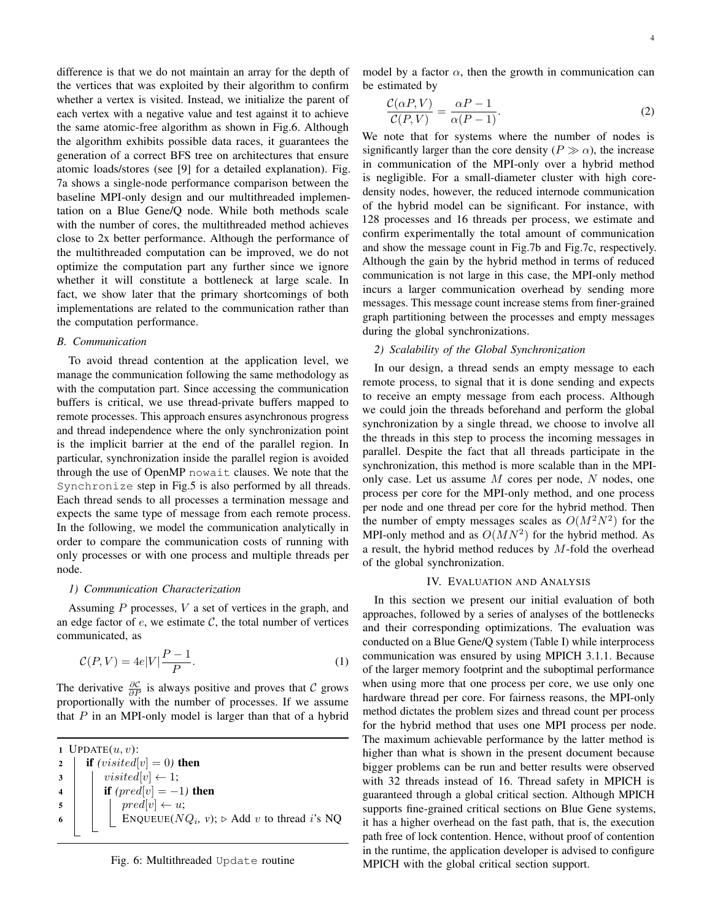difference is that we do not maintain an array for the depth of the vertices that was exploited by their algorithm to confirm whether a vertex is visited. Instead, we initialize the parent of each vertex with a negative value and test against it to achieve the same atomic-free algorithm as shown in Fig.6. Although the algorithm exhibits possible data races, it guarantees the generation of a correct BFS tree on architectures that ensure atomic loads/stores (see [9] for a detailed explanation). Fig. 7a shows a single-node performance comparison between the baseline MPI-only design and our multithreaded implementation on a Blue Gene/Q node. While both methods scale with the number of cores, the multithreaded method achieves close to 2x better performance. Although the performance of the multithreaded computation can be improved, we do not optimize the computation part any further since we ignore whether it will constitute a bottleneck at large scale. In fact, we show later that the primary shortcomings of both implementations are related to the communication rather than the computation performance.

#### B. Communication

To avoid thread contention at the application level, we manage the communication following the same methodology as with the computation part. Since accessing the communication buffers is critical, we use thread-private buffers mapped to remote processes. This approach ensures asynchronous progress and thread independence where the only synchronization point is the implicit barrier at the end of the parallel region. In particular, synchronization inside the parallel region is avoided through the use of OpenMP nowait clauses. We note that the Synchronize step in Fig.5 is also performed by all threads. Each thread sends to all processes a termination message and expects the same type of message from each remote process. In the following, we model the communication analytically in order to compare the communication costs of running with only processes or with one process and multiple threads per node.

## 1) Communication Characterization

Assuming  $P$  processes,  $V$  a set of vertices in the graph, and an edge factor of  $e$ , we estimate  $C$ , the total number of vertices communicated, as

$$
\mathcal{C}(P,V) = 4e|V|\frac{P-1}{P}.\tag{1}
$$

The derivative  $\frac{\partial C}{\partial P}$  is always positive and proves that C grows proportionally with the number of processes. If we assume that  $P$  in an MPI-only model is larger than that of a hybrid

1 UPDATE $(u, v)$ : 2 if (visited[v] = 0) then  $\mathbf{3} \mid \text{visited}[v] \leftarrow 1;$ 4 **if**  $(pred[v] = -1)$  then  $\mathfrak{s}$  | |  $pred[v] \leftarrow u;$ 6 | ENQUEUE( $NQ_i$ , v); ⊳ Add v to thread i's NQ

Fig. 6: Multithreaded Update routine

model by a factor  $\alpha$ , then the growth in communication can be estimated by

$$
\frac{\mathcal{C}(\alpha P, V)}{\mathcal{C}(P, V)} = \frac{\alpha P - 1}{\alpha (P - 1)}.
$$
\n(2)

We note that for systems where the number of nodes is significantly larger than the core density ( $P \gg \alpha$ ), the increase in communication of the MPI-only over a hybrid method is negligible. For a small-diameter cluster with high coredensity nodes, however, the reduced internode communication of the hybrid model can be significant. For instance, with 128 processes and 16 threads per process, we estimate and confirm experimentally the total amount of communication and show the message count in Fig.7b and Fig.7c, respectively. Although the gain by the hybrid method in terms of reduced communication is not large in this case, the MPI-only method incurs a larger communication overhead by sending more messages. This message count increase stems from finer-grained graph partitioning between the processes and empty messages during the global synchronizations.

## 2) Scalability of the Global Synchronization

In our design, a thread sends an empty message to each remote process, to signal that it is done sending and expects to receive an empty message from each process. Although we could join the threads beforehand and perform the global synchronization by a single thread, we choose to involve all the threads in this step to process the incoming messages in parallel. Despite the fact that all threads participate in the synchronization, this method is more scalable than in the MPIonly case. Let us assume  $M$  cores per node,  $N$  nodes, one process per core for the MPI-only method, and one process per node and one thread per core for the hybrid method. Then the number of empty messages scales as  $O(M^2N^2)$  for the MPI-only method and as  $O(MN^2)$  for the hybrid method. As a result, the hybrid method reduces by M-fold the overhead of the global synchronization.

# IV. EVALUATION AND ANALYSIS

In this section we present our initial evaluation of both approaches, followed by a series of analyses of the bottlenecks and their corresponding optimizations. The evaluation was conducted on a Blue Gene/Q system (Table I) while interprocess communication was ensured by using MPICH 3.1.1. Because of the larger memory footprint and the suboptimal performance when using more that one process per core, we use only one hardware thread per core. For fairness reasons, the MPI-only method dictates the problem sizes and thread count per process for the hybrid method that uses one MPI process per node. The maximum achievable performance by the latter method is higher than what is shown in the present document because bigger problems can be run and better results were observed with 32 threads instead of 16. Thread safety in MPICH is guaranteed through a global critical section. Although MPICH supports fine-grained critical sections on Blue Gene systems, it has a higher overhead on the fast path, that is, the execution path free of lock contention. Hence, without proof of contention in the runtime, the application developer is advised to configure MPICH with the global critical section support.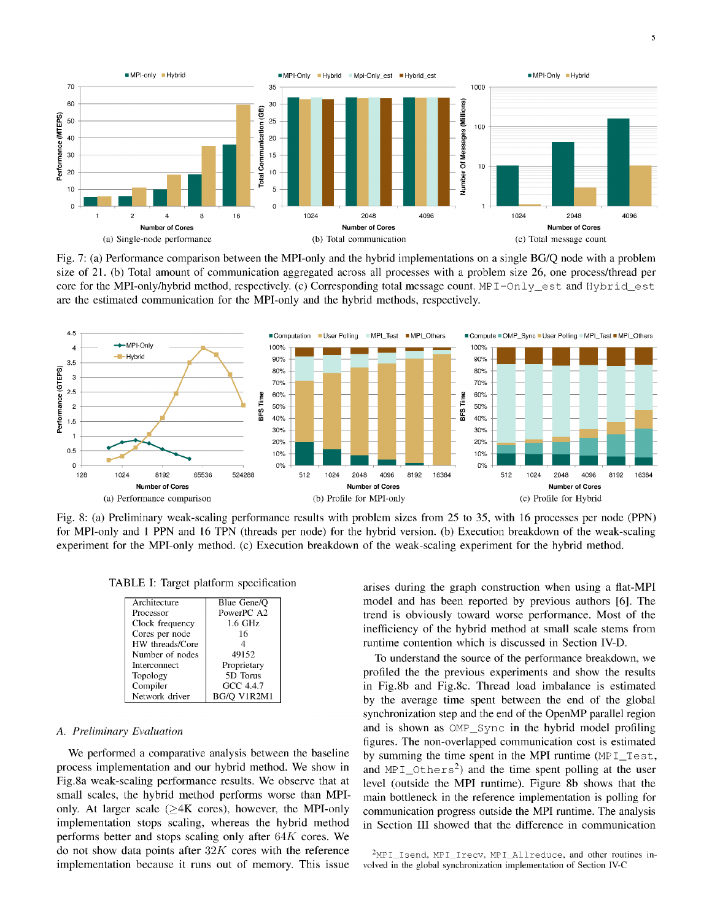

Fig. 7: (a) Performance comparison between the MPI-only and the hybrid implementations on a single BG/Q node with a problem size of 21. (b) Total amount of communication aggregated across all processes with a problem size 26, one process/thread per core for the MPI-only/hybrid method, respectively. (c) Corresponding total message count. MPI-Only\_est and Hybrid\_est are the estimated communication for the MPI-only and the hybrid methods, respectively.



Fig. 8: (a) Preliminary weak-scaling performance results with problem sizes from 25 to 35, with 16 processes per node (PPN) for MPI-only and 1 PPN and 16 TPN (threads per node) for the hybrid version. (b) Execution breakdown of the weak-scaling experiment for the MPI-only method. (c) Execution breakdown of the weak-scaling experiment for the hybrid method.

TABLE I: Target platform specification

| Architecture    | Blue Gene/O |
|-----------------|-------------|
| Processor       | PowerPC A2  |
| Clock frequency | 1.6 GHz     |
| Cores per node  | 16          |
| HW threads/Core |             |
| Number of nodes | 49152       |
| Interconnect    | Proprietary |
| Topology        | 5D Torus    |
| Compiler        | GCC 4.4.7   |
| Network driver  | BG/O V1R2M1 |

# A. Preliminary Evaluation

We performed a comparative analysis between the baseline process implementation and our hybrid method. We show in Fig.8a weak-scaling performance results. We observe that at small scales, the hybrid method performs worse than MPIonly. At larger scale  $(\geq 4K$  cores), however, the MPI-only implementation stops scaling, whereas the hybrid method performs better and stops scaling only after  $64K$  cores. We do not show data points after  $32K$  cores with the reference implementation because it runs out of memory. This issue

arises during the graph construction when using a flat-MPI model and has been reported by previous authors [6]. The trend is obviously toward worse performance. Most of the inefficiency of the hybrid method at small scale stems from runtime contention which is discussed in Section IV-D.

To understand the source of the performance breakdown, we profiled the the previous experiments and show the results in Fig.8b and Fig.8c. Thread load imbalance is estimated by the average time spent between the end of the global synchronization step and the end of the OpenMP parallel region and is shown as OMP\_Sync in the hybrid model profiling figures. The non-overlapped communication cost is estimated by summing the time spent in the MPI runtime (MPI\_Test, and MPI\_Others<sup>2</sup>) and the time spent polling at the user level (outside the MPI runtime). Figure 8b shows that the main bottleneck in the reference implementation is polling for communication progress outside the MPI runtime. The analysis in Section III showed that the difference in communication

<sup>2</sup>MPI\_Isend, MPI\_Irecv, MPI\_Allreduce, and other routines involved in the global synchronization implementation of Section IV-C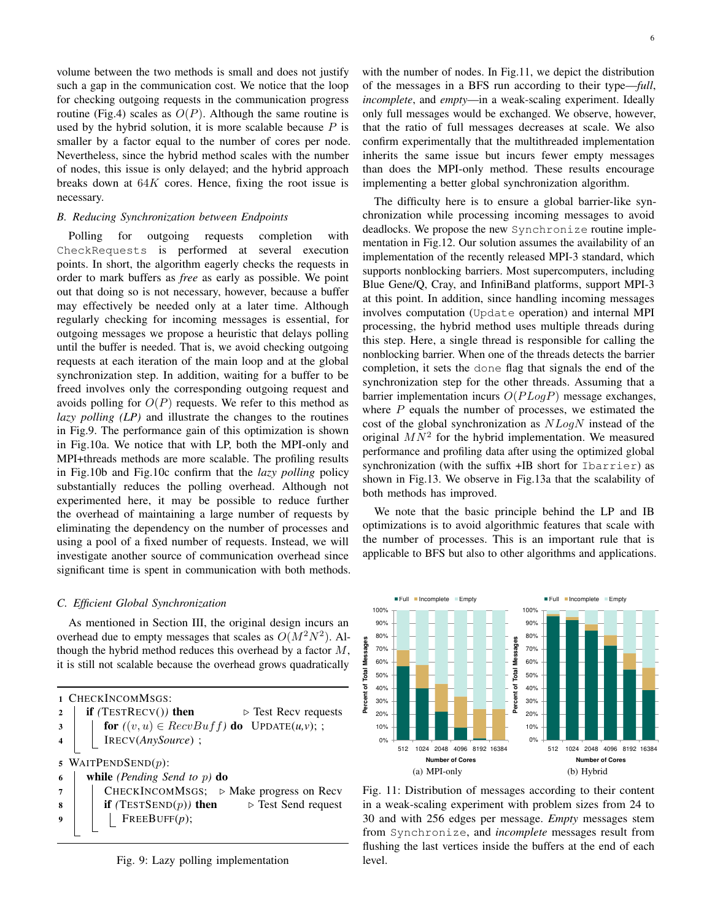volume between the two methods is small and does not justify such a gap in the communication cost. We notice that the loop for checking outgoing requests in the communication progress routine (Fig.4) scales as  $O(P)$ . Although the same routine is used by the hybrid solution, it is more scalable because  $P$  is smaller by a factor equal to the number of cores per node. Nevertheless, since the hybrid method scales with the number of nodes, this issue is only delayed; and the hybrid approach breaks down at  $64K$  cores. Hence, fixing the root issue is necessary.

## B. Reducing Synchronization between Endpoints

Polling for outgoing requests completion with CheckRequests is performed at several execution points. In short, the algorithm eagerly checks the requests in order to mark buffers as free as early as possible. We point out that doing so is not necessary, however, because a buffer may effectively be needed only at a later time. Although regularly checking for incoming messages is essential, for outgoing messages we propose a heuristic that delays polling until the buffer is needed. That is, we avoid checking outgoing requests at each iteration of the main loop and at the global synchronization step. In addition, waiting for a buffer to be freed involves only the corresponding outgoing request and avoids polling for  $O(P)$  requests. We refer to this method as lazy polling (LP) and illustrate the changes to the routines in Fig.9. The performance gain of this optimization is shown in Fig.10a. We notice that with LP, both the MPI-only and MPI+threads methods are more scalable. The profiling results in Fig.10b and Fig.10c confirm that the lazy polling policy substantially reduces the polling overhead. Although not experimented here, it may be possible to reduce further the overhead of maintaining a large number of requests by eliminating the dependency on the number of processes and using a pool of a fixed number of requests. Instead, we will investigate another source of communication overhead since significant time is spent in communication with both methods.

# C. Efficient Global Synchronization

As mentioned in Section III, the original design incurs an overhead due to empty messages that scales as  $O(M^2N^2)$ . Although the hybrid method reduces this overhead by a factor  $M$ , it is still not scalable because the overhead grows quadratically

|                | 1 CHECKINCOMMSGS:                                                        |
|----------------|--------------------------------------------------------------------------|
| $\overline{2}$ | if $(TESTRECV()$ ) then<br>$\triangleright$ Test Recv requests           |
| $\mathbf{3}$   | for $((v, u) \in RecvBuff)$ do UPDATE $(u, v)$ ; ;<br>IRECV(AnySource) ; |
|                |                                                                          |
|                |                                                                          |
|                | 5 WAITPENDSEND $(p)$ :                                                   |
| 6              | while (Pending Send to $p$ ) do                                          |
|                | CHECKINCOMMSGS; $\triangleright$ Make progress on Recv                   |
| 8              | if $(TESTSEND(p))$ then<br>$\triangleright$ Test Send request            |
| -9             | FREEBUFF(p);                                                             |
|                |                                                                          |

Fig. 9: Lazy polling implementation

with the number of nodes. In Fig.11, we depict the distribution of the messages in a BFS run according to their type—full, incomplete, and empty—in a weak-scaling experiment. Ideally only full messages would be exchanged. We observe, however, that the ratio of full messages decreases at scale. We also confirm experimentally that the multithreaded implementation inherits the same issue but incurs fewer empty messages than does the MPI-only method. These results encourage implementing a better global synchronization algorithm.

The difficulty here is to ensure a global barrier-like synchronization while processing incoming messages to avoid deadlocks. We propose the new Synchronize routine implementation in Fig.12. Our solution assumes the availability of an implementation of the recently released MPI-3 standard, which supports nonblocking barriers. Most supercomputers, including Blue Gene/Q, Cray, and InfiniBand platforms, support MPI-3 at this point. In addition, since handling incoming messages involves computation (Update operation) and internal MPI processing, the hybrid method uses multiple threads during this step. Here, a single thread is responsible for calling the nonblocking barrier. When one of the threads detects the barrier completion, it sets the done flag that signals the end of the synchronization step for the other threads. Assuming that a barrier implementation incurs  $O(PLogP)$  message exchanges, where  $P$  equals the number of processes, we estimated the cost of the global synchronization as  $NLogN$  instead of the original  $MN^2$  for the hybrid implementation. We measured performance and profiling data after using the optimized global synchronization (with the suffix +IB short for Ibarrier) as shown in Fig.13. We observe in Fig.13a that the scalability of both methods has improved.

We note that the basic principle behind the LP and IB optimizations is to avoid algorithmic features that scale with the number of processes. This is an important rule that is applicable to BFS but also to other algorithms and applications.



Fig. 11: Distribution of messages according to their content in a weak-scaling experiment with problem sizes from 24 to 30 and with 256 edges per message. Empty messages stem from Synchronize, and *incomplete* messages result from flushing the last vertices inside the buffers at the end of each level.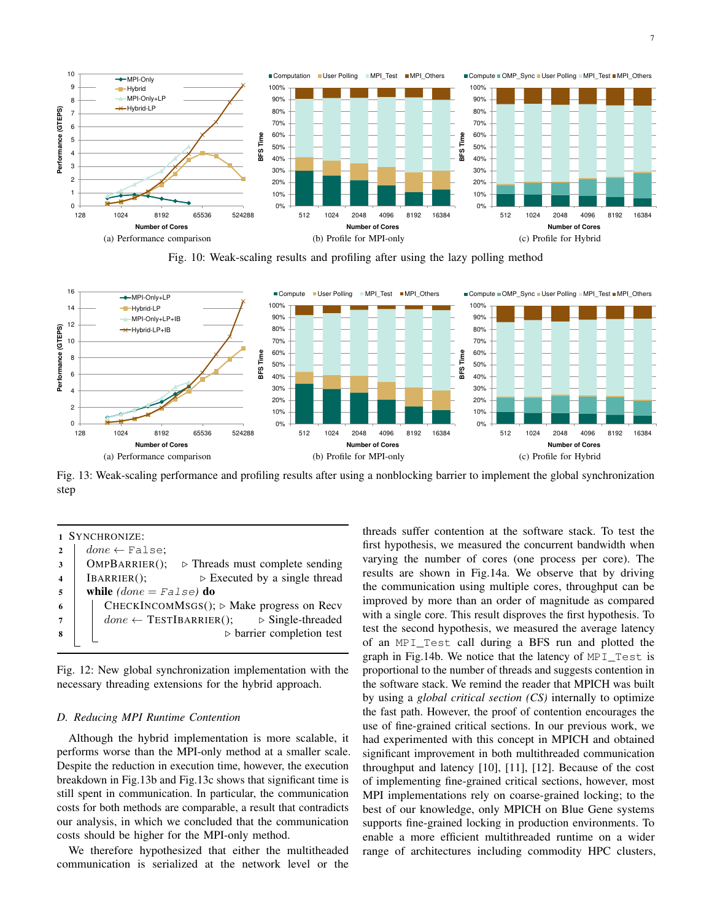

Fig. 10: Weak-scaling results and profiling after using the lazy polling method



Fig. 13: Weak-scaling performance and profiling results after using a nonblocking barrier to implement the global synchronization step

<sup>1</sup> SYNCHRONIZE:  $2 \mid done \leftarrow \text{False};$  $\beta$  OMPBARRIER();  $\triangleright$  Threads must complete sending 4 IBARRIER();  $\triangleright$  Executed by a single thread 5 while  $(done = False)$  do 6 | CHECKINCOMMSGS(); ⊳ Make progress on Recv  $7 \mid \cdot \mid$  done ← TESTIBARRIER();  $\triangleright$  Single-threaded 8 ∣ ↓ barrier completion test

Fig. 12: New global synchronization implementation with the necessary threading extensions for the hybrid approach.

## D. Reducing MPI Runtime Contention

Although the hybrid implementation is more scalable, it performs worse than the MPI-only method at a smaller scale. Despite the reduction in execution time, however, the execution breakdown in Fig.13b and Fig.13c shows that significant time is still spent in communication. In particular, the communication costs for both methods are comparable, a result that contradicts our analysis, in which we concluded that the communication costs should be higher for the MPI-only method.

We therefore hypothesized that either the multitheaded communication is serialized at the network level or the threads suffer contention at the software stack. To test the first hypothesis, we measured the concurrent bandwidth when varying the number of cores (one process per core). The results are shown in Fig.14a. We observe that by driving the communication using multiple cores, throughput can be improved by more than an order of magnitude as compared with a single core. This result disproves the first hypothesis. To test the second hypothesis, we measured the average latency of an MPI\_Test call during a BFS run and plotted the graph in Fig.14b. We notice that the latency of MPI\_Test is proportional to the number of threads and suggests contention in the software stack. We remind the reader that MPICH was built by using a *global critical section* (CS) internally to optimize the fast path. However, the proof of contention encourages the use of fine-grained critical sections. In our previous work, we had experimented with this concept in MPICH and obtained significant improvement in both multithreaded communication throughput and latency [10], [11], [12]. Because of the cost of implementing fine-grained critical sections, however, most MPI implementations rely on coarse-grained locking; to the best of our knowledge, only MPICH on Blue Gene systems supports fine-grained locking in production environments. To enable a more efficient multithreaded runtime on a wider range of architectures including commodity HPC clusters,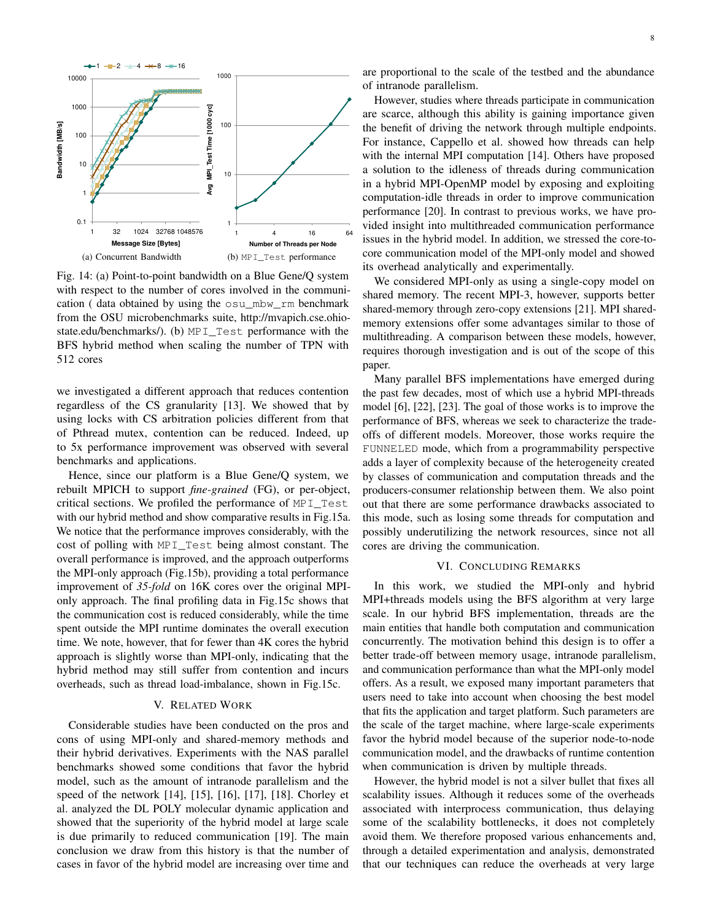

Fig. 14: (a) Point-to-point bandwidth on a Blue Gene/Q system with respect to the number of cores involved in the communication ( data obtained by using the osu\_mbw\_rm benchmark from the OSU microbenchmarks suite, http://mvapich.cse.ohiostate.edu/benchmarks/). (b) MPI\_Test performance with the BFS hybrid method when scaling the number of TPN with 512 cores

we investigated a different approach that reduces contention regardless of the CS granularity [13]. We showed that by using locks with CS arbitration policies different from that of Pthread mutex, contention can be reduced. Indeed, up to 5x performance improvement was observed with several benchmarks and applications.

Hence, since our platform is a Blue Gene/Q system, we rebuilt MPICH to support *fine-grained* (FG), or per-object, critical sections. We profiled the performance of MPI\_Test with our hybrid method and show comparative results in Fig.15a. We notice that the performance improves considerably, with the cost of polling with MPI\_Test being almost constant. The overall performance is improved, and the approach outperforms the MPI-only approach (Fig.15b), providing a total performance improvement of 35-fold on 16K cores over the original MPIonly approach. The final profiling data in Fig.15c shows that the communication cost is reduced considerably, while the time spent outside the MPI runtime dominates the overall execution time. We note, however, that for fewer than 4K cores the hybrid approach is slightly worse than MPI-only, indicating that the hybrid method may still suffer from contention and incurs overheads, such as thread load-imbalance, shown in Fig.15c.

## V. RELATED WORK

Considerable studies have been conducted on the pros and cons of using MPI-only and shared-memory methods and their hybrid derivatives. Experiments with the NAS parallel benchmarks showed some conditions that favor the hybrid model, such as the amount of intranode parallelism and the speed of the network [14], [15], [16], [17], [18]. Chorley et al. analyzed the DL POLY molecular dynamic application and showed that the superiority of the hybrid model at large scale is due primarily to reduced communication [19]. The main conclusion we draw from this history is that the number of cases in favor of the hybrid model are increasing over time and are proportional to the scale of the testbed and the abundance of intranode parallelism.

However, studies where threads participate in communication are scarce, although this ability is gaining importance given the benefit of driving the network through multiple endpoints. For instance, Cappello et al. showed how threads can help with the internal MPI computation [14]. Others have proposed a solution to the idleness of threads during communication in a hybrid MPI-OpenMP model by exposing and exploiting computation-idle threads in order to improve communication performance [20]. In contrast to previous works, we have provided insight into multithreaded communication performance issues in the hybrid model. In addition, we stressed the core-tocore communication model of the MPI-only model and showed its overhead analytically and experimentally.

We considered MPI-only as using a single-copy model on shared memory. The recent MPI-3, however, supports better shared-memory through zero-copy extensions [21]. MPI sharedmemory extensions offer some advantages similar to those of multithreading. A comparison between these models, however, requires thorough investigation and is out of the scope of this paper.

Many parallel BFS implementations have emerged during the past few decades, most of which use a hybrid MPI-threads model [6], [22], [23]. The goal of those works is to improve the performance of BFS, whereas we seek to characterize the tradeoffs of different models. Moreover, those works require the FUNNELED mode, which from a programmability perspective adds a layer of complexity because of the heterogeneity created by classes of communication and computation threads and the producers-consumer relationship between them. We also point out that there are some performance drawbacks associated to this mode, such as losing some threads for computation and possibly underutilizing the network resources, since not all cores are driving the communication.

#### VI. CONCLUDING REMARKS

In this work, we studied the MPI-only and hybrid MPI+threads models using the BFS algorithm at very large scale. In our hybrid BFS implementation, threads are the main entities that handle both computation and communication concurrently. The motivation behind this design is to offer a better trade-off between memory usage, intranode parallelism, and communication performance than what the MPI-only model offers. As a result, we exposed many important parameters that users need to take into account when choosing the best model that fits the application and target platform. Such parameters are the scale of the target machine, where large-scale experiments favor the hybrid model because of the superior node-to-node communication model, and the drawbacks of runtime contention when communication is driven by multiple threads.

However, the hybrid model is not a silver bullet that fixes all scalability issues. Although it reduces some of the overheads associated with interprocess communication, thus delaying some of the scalability bottlenecks, it does not completely avoid them. We therefore proposed various enhancements and, through a detailed experimentation and analysis, demonstrated that our techniques can reduce the overheads at very large